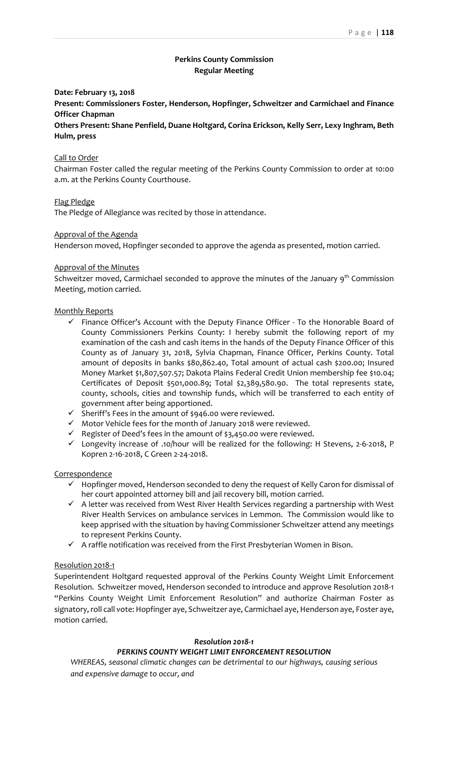# **Perkins County Commission Regular Meeting**

### **Date: February 13, 2018**

**Present: Commissioners Foster, Henderson, Hopfinger, Schweitzer and Carmichael and Finance Officer Chapman**

**Others Present: Shane Penfield, Duane Holtgard, Corina Erickson, Kelly Serr, Lexy Inghram, Beth Hulm, press**

### Call to Order

Chairman Foster called the regular meeting of the Perkins County Commission to order at 10:00 a.m. at the Perkins County Courthouse.

### Flag Pledge

The Pledge of Allegiance was recited by those in attendance.

### Approval of the Agenda

Henderson moved, Hopfinger seconded to approve the agenda as presented, motion carried.

#### Approval of the Minutes

Schweitzer moved, Carmichael seconded to approve the minutes of the January 9<sup>th</sup> Commission Meeting, motion carried.

#### Monthly Reports

- $\checkmark$  Finance Officer's Account with the Deputy Finance Officer To the Honorable Board of County Commissioners Perkins County: I hereby submit the following report of my examination of the cash and cash items in the hands of the Deputy Finance Officer of this County as of January 31, 2018, Sylvia Chapman, Finance Officer, Perkins County. Total amount of deposits in banks \$80,862.40, Total amount of actual cash \$200.00; Insured Money Market \$1,807,507.57; Dakota Plains Federal Credit Union membership fee \$10.04; Certificates of Deposit \$501,000.89; Total \$2,389,580.90. The total represents state, county, schools, cities and township funds, which will be transferred to each entity of government after being apportioned.
- $\checkmark$  Sheriff's Fees in the amount of \$946.00 were reviewed.
- $\checkmark$  Motor Vehicle fees for the month of January 2018 were reviewed.
- $\checkmark$  Register of Deed's fees in the amount of \$3,450.00 were reviewed.
- Longevity increase of .10/hour will be realized for the following: H Stevens, 2‐6‐2018, P Kopren 2‐16‐2018, C Green 2‐24‐2018.

#### **Correspondence**

- $\checkmark$  Hopfinger moved, Henderson seconded to deny the request of Kelly Caron for dismissal of her court appointed attorney bill and jail recovery bill, motion carried.
- $\checkmark$  A letter was received from West River Health Services regarding a partnership with West River Health Services on ambulance services in Lemmon. The Commission would like to keep apprised with the situation by having Commissioner Schweitzer attend any meetings to represent Perkins County.
- $\checkmark$  A raffle notification was received from the First Presbyterian Women in Bison.

### Resolution 2018‐1

Superintendent Holtgard requested approval of the Perkins County Weight Limit Enforcement Resolution. Schweitzer moved, Henderson seconded to introduce and approve Resolution 2018‐1 "Perkins County Weight Limit Enforcement Resolution" and authorize Chairman Foster as signatory,roll call vote: Hopfinger aye, Schweitzer aye, Carmichael aye, Henderson aye, Foster aye, motion carried.

## *Resolution 2018‐1*

# *PERKINS COUNTY WEIGHT LIMIT ENFORCEMENT RESOLUTION*

*WHEREAS, seasonal climatic changes can be detrimental to our highways, causing serious and expensive damage to occur, and*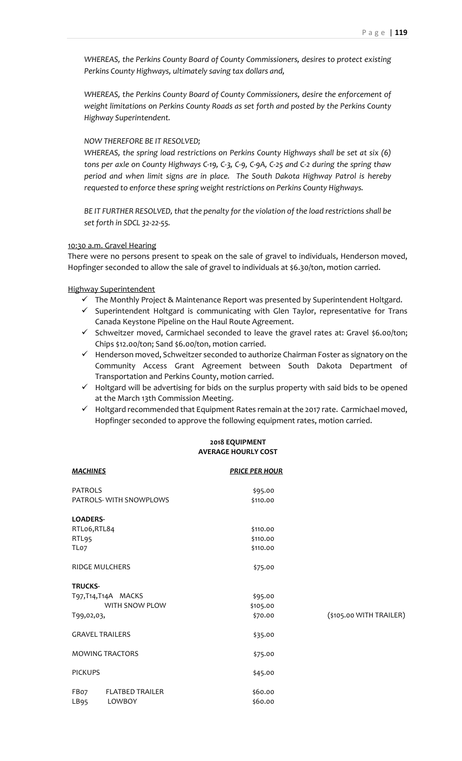*WHEREAS, the Perkins County Board of County Commissioners, desires to protect existing Perkins County Highways, ultimately saving tax dollars and,*

*WHEREAS, the Perkins County Board of County Commissioners, desire the enforcement of weight limitations on Perkins County Roads as set forth and posted by the Perkins County Highway Superintendent.*

## *NOW THEREFORE BE IT RESOLVED;*

*WHEREAS, the spring load restrictions on Perkins County Highways shall be set at six (6)* tons per axle on County Highways C-19, C-3, C-9, C-9A, C-25 and C-2 during the spring thaw *period and when limit signs are in place. The South Dakota Highway Patrol is hereby requested to enforce these spring weight restrictions on Perkins County Highways.*

*BE IT FURTHER RESOLVED, that the penalty for the violation of the load restrictions shall be set forth in SDCL 32‐22‐55.*

### 10:30 a.m. Gravel Hearing

There were no persons present to speak on the sale of gravel to individuals, Henderson moved, Hopfinger seconded to allow the sale of gravel to individuals at \$6.30/ton, motion carried.

Highway Superintendent

- $\checkmark$  The Monthly Project & Maintenance Report was presented by Superintendent Holtgard.
- $\checkmark$  Superintendent Holtgard is communicating with Glen Taylor, representative for Trans Canada Keystone Pipeline on the Haul Route Agreement.
- $\checkmark$  Schweitzer moved, Carmichael seconded to leave the gravel rates at: Gravel \$6.00/ton; Chips \$12.00/ton; Sand \$6.00/ton, motion carried.
- $\checkmark$  Henderson moved, Schweitzer seconded to authorize Chairman Foster as signatory on the Community Access Grant Agreement between South Dakota Department of Transportation and Perkins County, motion carried.
- $\checkmark$  Holtgard will be advertising for bids on the surplus property with said bids to be opened at the March 13th Commission Meeting.
- $\checkmark$  Holtgard recommended that Equipment Rates remain at the 2017 rate. Carmichael moved, Hopfinger seconded to approve the following equipment rates, motion carried.

## **2018 EQUIPMENT AVERAGE HOURLY COST**

| <b>MACHINES</b>        |                        | <b>PRICE PER HOUR</b> |                         |
|------------------------|------------------------|-----------------------|-------------------------|
| <b>PATROLS</b>         |                        | \$95.00               |                         |
|                        | PATROLS-WITH SNOWPLOWS | \$110.00              |                         |
| <b>LOADERS-</b>        |                        |                       |                         |
| RTLo6,RTL84            |                        | \$110.00              |                         |
| RTL95                  |                        | \$110.00              |                         |
| TLo7                   |                        | \$110.00              |                         |
| <b>RIDGE MULCHERS</b>  |                        | \$75.00               |                         |
| <b>TRUCKS-</b>         |                        |                       |                         |
| T97,T14,T14A MACKS     |                        | \$95.00               |                         |
|                        | WITH SNOW PLOW         | \$105.00              |                         |
| T99,02,03,             |                        | \$70.00               | (\$105.00 WITH TRAILER) |
| <b>GRAVEL TRAILERS</b> |                        | \$35.00               |                         |
| <b>MOWING TRACTORS</b> |                        | \$75.00               |                         |
| <b>PICKUPS</b>         |                        | \$45.00               |                         |
| FBo7                   | <b>FLATBED TRAILER</b> | \$60.00               |                         |
| LB <sub>95</sub>       | LOWBOY                 | \$60.00               |                         |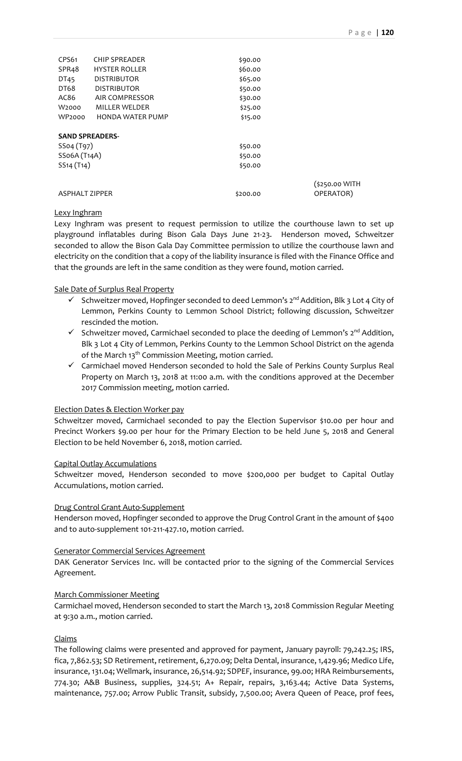| CPS61                               | <b>CHIP SPREADER</b>    | \$90.00  |                             |  |  |
|-------------------------------------|-------------------------|----------|-----------------------------|--|--|
| SPR <sub>4</sub> 8                  | <b>HYSTER ROLLER</b>    | \$60.00  |                             |  |  |
| DT45                                | <b>DISTRIBUTOR</b>      | \$65.00  |                             |  |  |
| DT68                                | <b>DISTRIBUTOR</b>      | \$50.00  |                             |  |  |
| AC86                                | AIR COMPRESSOR          | \$30.00  |                             |  |  |
| W2000                               | MILLER WELDER           | \$25.00  |                             |  |  |
| <b>WP2000</b>                       | <b>HONDA WATER PUMP</b> | \$15.00  |                             |  |  |
| <b>SAND SPREADERS-</b>              |                         |          |                             |  |  |
| SS04 (T97)                          |                         | \$50.00  |                             |  |  |
| SSo6A (T <sub>14</sub> A)           |                         | \$50.00  |                             |  |  |
| SS <sub>14</sub> (T <sub>14</sub> ) |                         | \$50.00  |                             |  |  |
| <b>ASPHALT ZIPPER</b>               |                         | \$200.00 | (\$250.00 WITH<br>OPERATOR) |  |  |
|                                     |                         |          |                             |  |  |

# Lexy Inghram

Lexy Inghram was present to request permission to utilize the courthouse lawn to set up playground inflatables during Bison Gala Days June 21‐23. Henderson moved, Schweitzer seconded to allow the Bison Gala Day Committee permission to utilize the courthouse lawn and electricity on the condition that a copy of the liability insurance is filed with the Finance Office and that the grounds are left in the same condition as they were found, motion carried.

# Sale Date of Surplus Real Property

- Schweitzer moved, Hopfinger seconded to deed Lemmon's  $2^{nd}$  Addition, Blk 3 Lot 4 City of Lemmon, Perkins County to Lemmon School District; following discussion, Schweitzer rescinded the motion.
- $\checkmark$  Schweitzer moved, Carmichael seconded to place the deeding of Lemmon's  $2^{nd}$  Addition, Blk 3 Lot 4 City of Lemmon, Perkins County to the Lemmon School District on the agenda of the March 13<sup>th</sup> Commission Meeting, motion carried.
- $\checkmark$  Carmichael moved Henderson seconded to hold the Sale of Perkins County Surplus Real Property on March 13, 2018 at 11:00 a.m. with the conditions approved at the December 2017 Commission meeting, motion carried.

## Election Dates & Election Worker pay

Schweitzer moved, Carmichael seconded to pay the Election Supervisor \$10.00 per hour and Precinct Workers \$9.00 per hour for the Primary Election to be held June 5, 2018 and General Election to be held November 6, 2018, motion carried.

## Capital Outlay Accumulations

Schweitzer moved, Henderson seconded to move \$200,000 per budget to Capital Outlay Accumulations, motion carried.

## Drug Control Grant Auto‐Supplement

Henderson moved, Hopfinger seconded to approve the Drug Control Grant in the amount of \$400 and to auto‐supplement 101‐211‐427.10, motion carried.

## Generator Commercial Services Agreement

DAK Generator Services Inc. will be contacted prior to the signing of the Commercial Services Agreement.

## March Commissioner Meeting

Carmichael moved, Henderson seconded to start the March 13, 2018 Commission Regular Meeting at 9:30 a.m., motion carried.

## Claims

The following claims were presented and approved for payment, January payroll: 79,242.25; IRS, fica, 7,862.53; SD Retirement, retirement, 6,270.09; Delta Dental, insurance, 1,429.96; Medico Life, insurance, 131.04; Wellmark, insurance, 26,514.92; SDPEF, insurance, 99.00; HRA Reimbursements, 774.30; A&B Business, supplies, 324.51; A+ Repair, repairs, 3,163.44; Active Data Systems, maintenance, 757.00; Arrow Public Transit, subsidy, 7,500.00; Avera Queen of Peace, prof fees,